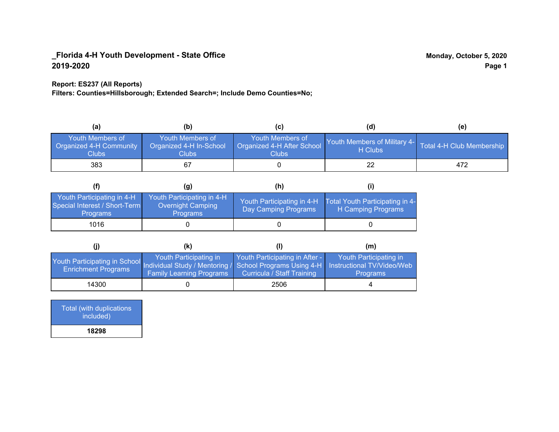#### **Report: ES237 (All Reports)**

**Filters: Counties=Hillsborough; Extended Search=; Include Demo Counties=No;**

| (a)                                                  | (b)                                                         | (C)                                                      | (d)                                     | (e)                       |
|------------------------------------------------------|-------------------------------------------------------------|----------------------------------------------------------|-----------------------------------------|---------------------------|
| Youth Members of<br>Organized 4-H Community<br>Clubs | Youth Members of<br>Organized 4-H In-School<br><b>Clubs</b> | Youth Members of<br>Organized 4-H After School<br>Clubs: | Youth Members of Military 4-<br>H Clubs | Total 4-H Club Membership |
| 383                                                  | 67                                                          |                                                          | 22                                      | 472                       |

|                                                                                | (g)                                                                       | (h)                                                |                                                       |
|--------------------------------------------------------------------------------|---------------------------------------------------------------------------|----------------------------------------------------|-------------------------------------------------------|
| Youth Participating in 4-H<br>Special Interest / Short-Term<br><b>Programs</b> | Youth Participating in 4-H<br><b>Overnight Camping</b><br><b>Programs</b> | Youth Participating in 4-H<br>Day Camping Programs | Total Youth Participating in 4-<br>H Camping Programs |
| 1016                                                                           |                                                                           |                                                    |                                                       |

|                                                                                                                                                 | (k)                                                       | (1)                                                          | (m)                                       |
|-------------------------------------------------------------------------------------------------------------------------------------------------|-----------------------------------------------------------|--------------------------------------------------------------|-------------------------------------------|
| Youth Participating in School Individual Study / Mentoring / School Programs Using 4-H Instructional TV/Video/Web<br><b>Enrichment Programs</b> | Youth Participating in<br><b>Family Learning Programs</b> | Youth Participating in After -<br>Curricula / Staff Training | Youth Participating in<br><b>Programs</b> |
| 14300                                                                                                                                           |                                                           | 2506                                                         |                                           |

Total (with duplications included) **18298**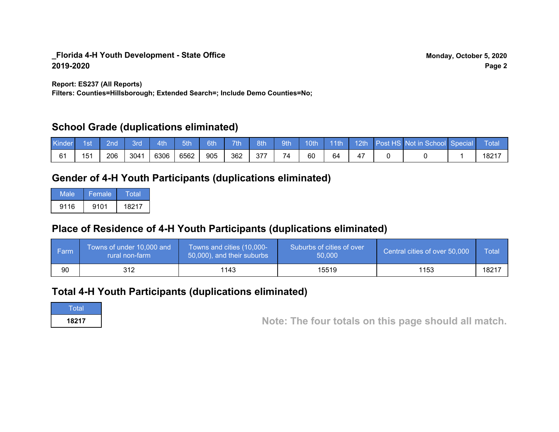**Report: ES237 (All Reports)**

**Filters: Counties=Hillsborough; Extended Search=; Include Demo Counties=No;**

## **School Grade (duplications eliminated)**

| <b>Kinder</b> | 1st\ | 2nd | 3rd  | 4th/ | 5th  | 6th | 7th | 8th | 9th | 10th | /l 11th |  | 12th Post HS Not in School Special | Total             |
|---------------|------|-----|------|------|------|-----|-----|-----|-----|------|---------|--|------------------------------------|-------------------|
|               | 151  | 206 | 3041 | 6306 | 6562 | 905 | 362 | 377 | 74  | 60   | 64      |  |                                    | 1821 <sup>-</sup> |

## **Gender of 4-H Youth Participants (duplications eliminated)**

| Male | Female | Total |
|------|--------|-------|
| 9116 | 9101   | 18217 |

# **Place of Residence of 4-H Youth Participants (duplications eliminated)**

| i Farmi | Towns of under 10,000 and<br>rural non-farm | Towns and cities (10,000-<br>50,000), and their suburbs | Suburbs of cities of over<br>50,000 | Central cities of over 50,000 | Total |
|---------|---------------------------------------------|---------------------------------------------------------|-------------------------------------|-------------------------------|-------|
| 90      | 312                                         | 1143                                                    | 15519                               | 1153                          | 18217 |

## **Total 4-H Youth Participants (duplications eliminated)**

**Total** 

**<sup>18217</sup> Note: The four totals on this page should all match.**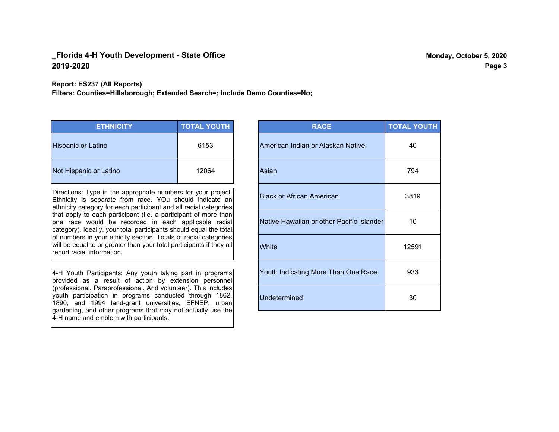**Report: ES237 (All Reports)**

**Filters: Counties=Hillsborough; Extended Search=; Include Demo Counties=No;**

| <b>ETHNICITY</b>          | <b>TOTAL YOUTH</b> |
|---------------------------|--------------------|
| <b>Hispanic or Latino</b> | 6153               |
| Not Hispanic or Latino    | 12064              |

Directions: Type in the appropriate numbers for your project. Ethnicity is separate from race. YOu should indicate an ethnicity category for each participant and all racial categories that apply to each participant (i.e. a participant of more than one race would be recorded in each applicable racial category). Ideally, your total participants should equal the total of numbers in your ethicity section. Totals of racial categories will be equal to or greater than your total participants if they all report racial information.

4-H Youth Participants: Any youth taking part in programs provided as a result of action by extension personnel (professional. Paraprofessional. And volunteer). This includes youth participation in programs conducted through 1862, 1890, and 1994 land-grant universities, EFNEP, urban gardening, and other programs that may not actually use the 4-H name and emblem with participants.

| <b>RACE</b>                               | <b>TOTAL YOUTH</b> |
|-------------------------------------------|--------------------|
| American Indian or Alaskan Native         | 40                 |
| Asian                                     | 794                |
| <b>Black or African American</b>          | 3819               |
| Native Hawaiian or other Pacific Islander | 10                 |
| White                                     | 12591              |
| Youth Indicating More Than One Race       | 933                |
| <b>Undetermined</b>                       | 30                 |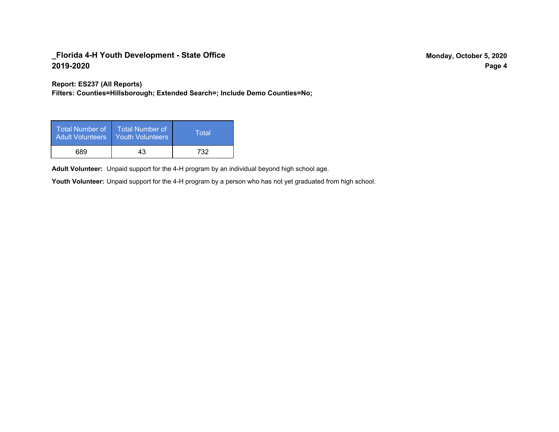**Report: ES237 (All Reports)**

**Filters: Counties=Hillsborough; Extended Search=; Include Demo Counties=No;**

| Total Number of<br><b>Adult Volunteers</b> | <b>Total Number of</b><br><b>Youth Volunteers</b> | Total |
|--------------------------------------------|---------------------------------------------------|-------|
| 689                                        | 43                                                | 732   |

Adult Volunteer: Unpaid support for the 4-H program by an individual beyond high school age.

Youth Volunteer: Unpaid support for the 4-H program by a person who has not yet graduated from high school.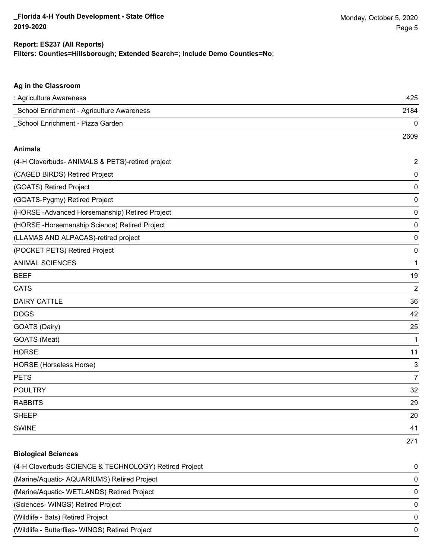#### **Filters: Counties=Hillsborough; Extended Search=; Include Demo Counties=No; Report: ES237 (All Reports)**

| Ag in the Classroom                                   |                |
|-------------------------------------------------------|----------------|
| : Agriculture Awareness                               | 425            |
| School Enrichment - Agriculture Awareness             | 2184           |
| School Enrichment - Pizza Garden                      | 0              |
|                                                       | 2609           |
| <b>Animals</b>                                        |                |
| (4-H Cloverbuds- ANIMALS & PETS)-retired project      | 2              |
| (CAGED BIRDS) Retired Project                         | $\pmb{0}$      |
| (GOATS) Retired Project                               | 0              |
| (GOATS-Pygmy) Retired Project                         | $\pmb{0}$      |
| (HORSE-Advanced Horsemanship) Retired Project         | $\pmb{0}$      |
| (HORSE -Horsemanship Science) Retired Project         | $\pmb{0}$      |
| (LLAMAS AND ALPACAS)-retired project                  | $\pmb{0}$      |
| (POCKET PETS) Retired Project                         | 0              |
| <b>ANIMAL SCIENCES</b>                                | 1              |
| <b>BEEF</b>                                           | 19             |
| <b>CATS</b>                                           | $\overline{2}$ |
| <b>DAIRY CATTLE</b>                                   | 36             |
| <b>DOGS</b>                                           | 42             |
| GOATS (Dairy)                                         | 25             |
| GOATS (Meat)                                          | 1              |
| <b>HORSE</b>                                          | 11             |
| <b>HORSE</b> (Horseless Horse)                        | 3              |
| <b>PETS</b>                                           | $\overline{7}$ |
| <b>POULTRY</b>                                        | 32             |
| <b>RABBITS</b>                                        | 29             |
| <b>SHEEP</b>                                          | 20             |
| <b>SWINE</b>                                          | 41             |
|                                                       | 271            |
| <b>Biological Sciences</b>                            |                |
| (4-H Cloverbuds-SCIENCE & TECHNOLOGY) Retired Project | 0              |
| (Marine/Aquatic- AQUARIUMS) Retired Project           | $\pmb{0}$      |

(Marine/Aquatic- WETLANDS) Retired Project 0

(Sciences- WINGS) Retired Project 0

(Wildlife - Bats) Retired Project 0

(Wildlife - Butterflies- WINGS) Retired Project 0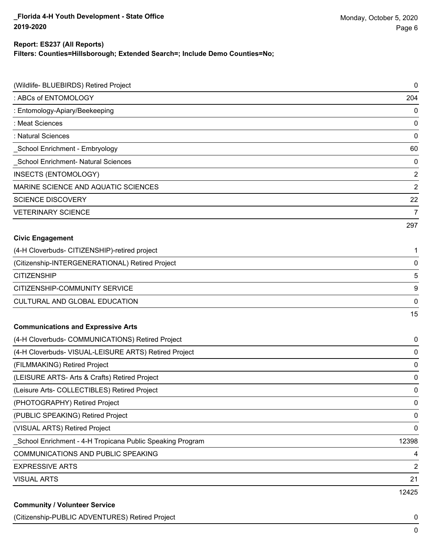#### **Report: ES237 (All Reports)**

**Filters: Counties=Hillsborough; Extended Search=; Include Demo Counties=No;**

| (Wildlife- BLUEBIRDS) Retired Project                     | $\pmb{0}$      |
|-----------------------------------------------------------|----------------|
| : ABCs of ENTOMOLOGY                                      | 204            |
| : Entomology-Apiary/Beekeeping                            | 0              |
| : Meat Sciences                                           | 0              |
| : Natural Sciences                                        | 0              |
| School Enrichment - Embryology                            | 60             |
| School Enrichment- Natural Sciences                       | 0              |
| <b>INSECTS (ENTOMOLOGY)</b>                               | $\overline{2}$ |
| MARINE SCIENCE AND AQUATIC SCIENCES                       | $\overline{2}$ |
| <b>SCIENCE DISCOVERY</b>                                  | 22             |
| <b>VETERINARY SCIENCE</b>                                 | $\overline{7}$ |
|                                                           | 297            |
| <b>Civic Engagement</b>                                   |                |
| (4-H Cloverbuds- CITIZENSHIP)-retired project             | 1              |
| (Citizenship-INTERGENERATIONAL) Retired Project           | $\mathbf 0$    |
| <b>CITIZENSHIP</b>                                        | 5              |
| CITIZENSHIP-COMMUNITY SERVICE                             | 9              |
| CULTURAL AND GLOBAL EDUCATION                             | 0              |
|                                                           | 15             |
| <b>Communications and Expressive Arts</b>                 |                |
| (4-H Cloverbuds- COMMUNICATIONS) Retired Project          | 0              |
| (4-H Cloverbuds- VISUAL-LEISURE ARTS) Retired Project     | 0              |
| (FILMMAKING) Retired Project                              | $\mathbf 0$    |
| (LEISURE ARTS- Arts & Crafts) Retired Project             | 0              |
| (Leisure Arts- COLLECTIBLES) Retired Project              | 0              |
| (PHOTOGRAPHY) Retired Project                             | 0              |
| (PUBLIC SPEAKING) Retired Project                         | 0              |
| (VISUAL ARTS) Retired Project                             | 0              |
| School Enrichment - 4-H Tropicana Public Speaking Program | 12398          |
| COMMUNICATIONS AND PUBLIC SPEAKING                        | 4              |
| <b>EXPRESSIVE ARTS</b>                                    | $\overline{c}$ |
| <b>VISUAL ARTS</b>                                        | 21             |
|                                                           | 12425          |
| <b>Community / Volunteer Service</b>                      |                |

(Citizenship-PUBLIC ADVENTURES) Retired Project 0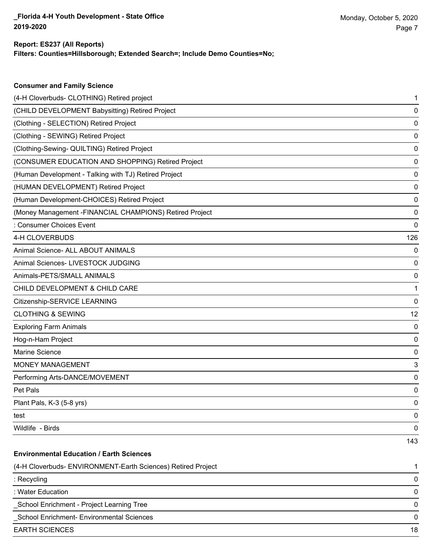## **Report: ES237 (All Reports)**

**Consumer and Family Science**

**Filters: Counties=Hillsborough; Extended Search=; Include Demo Counties=No;**

| (4-H Cloverbuds- CLOTHING) Retired project                   | 1           |
|--------------------------------------------------------------|-------------|
| (CHILD DEVELOPMENT Babysitting) Retired Project              | 0           |
| (Clothing - SELECTION) Retired Project                       | 0           |
| (Clothing - SEWING) Retired Project                          | 0           |
| (Clothing-Sewing- QUILTING) Retired Project                  | 0           |
| (CONSUMER EDUCATION AND SHOPPING) Retired Project            | 0           |
| (Human Development - Talking with TJ) Retired Project        | 0           |
| (HUMAN DEVELOPMENT) Retired Project                          | 0           |
| (Human Development-CHOICES) Retired Project                  | 0           |
| (Money Management -FINANCIAL CHAMPIONS) Retired Project      | 0           |
| : Consumer Choices Event                                     | 0           |
| 4-H CLOVERBUDS                                               | 126         |
| Animal Science- ALL ABOUT ANIMALS                            | 0           |
| Animal Sciences- LIVESTOCK JUDGING                           | 0           |
| Animals-PETS/SMALL ANIMALS                                   | 0           |
| CHILD DEVELOPMENT & CHILD CARE                               | 1           |
| Citizenship-SERVICE LEARNING                                 | 0           |
| <b>CLOTHING &amp; SEWING</b>                                 | 12          |
| <b>Exploring Farm Animals</b>                                | 0           |
| Hog-n-Ham Project                                            | 0           |
| Marine Science                                               | 0           |
| <b>MONEY MANAGEMENT</b>                                      | 3           |
| Performing Arts-DANCE/MOVEMENT                               | 0           |
| Pet Pals                                                     | 0           |
| Plant Pals, K-3 (5-8 yrs)                                    | 0           |
| test                                                         | $\mathbf 0$ |
| Wildlife - Birds                                             | 0           |
|                                                              | 143         |
| <b>Environmental Education / Earth Sciences</b>              |             |
| (4-H Cloverbuds- ENVIRONMENT-Earth Sciences) Retired Project | 1           |
| : Recycling                                                  | 0           |
| : Water Education                                            | 0           |
| School Enrichment - Project Learning Tree                    | 0           |
| School Enrichment- Environmental Sciences                    | 0           |
| <b>EARTH SCIENCES</b>                                        | 18          |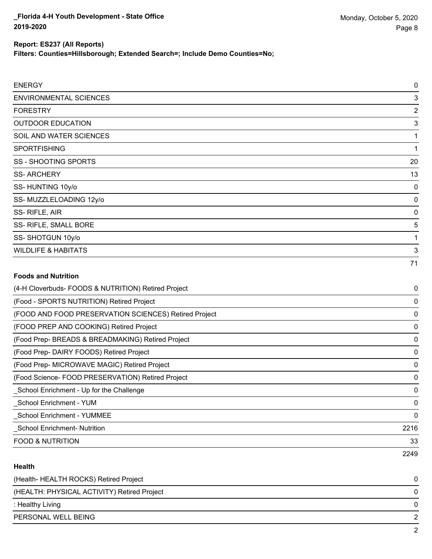**Filters: Counties=Hillsborough; Extended Search=; Include Demo Counties=No;**

| <b>ENERGY</b>                                         | 0              |
|-------------------------------------------------------|----------------|
| <b>ENVIRONMENTAL SCIENCES</b>                         | 3              |
| <b>FORESTRY</b>                                       | $\overline{c}$ |
| <b>OUTDOOR EDUCATION</b>                              | 3              |
| SOIL AND WATER SCIENCES                               | 1              |
| <b>SPORTFISHING</b>                                   | 1              |
| <b>SS-SHOOTING SPORTS</b>                             | 20             |
| <b>SS-ARCHERY</b>                                     | 13             |
| SS-HUNTING 10y/o                                      | 0              |
| SS-MUZZLELOADING 12y/o                                | 0              |
| SS-RIFLE, AIR                                         | 0              |
| SS- RIFLE, SMALL BORE                                 | 5              |
| SS-SHOTGUN 10y/o                                      | 1              |
| <b>WILDLIFE &amp; HABITATS</b>                        | 3              |
|                                                       | 71             |
| <b>Foods and Nutrition</b>                            |                |
| (4-H Cloverbuds- FOODS & NUTRITION) Retired Project   | 0              |
| (Food - SPORTS NUTRITION) Retired Project             | 0              |
| (FOOD AND FOOD PRESERVATION SCIENCES) Retired Project | 0              |
| (FOOD PREP AND COOKING) Retired Project               | 0              |
| (Food Prep- BREADS & BREADMAKING) Retired Project     | 0              |
| (Food Prep- DAIRY FOODS) Retired Project              | 0              |
| (Food Prep- MICROWAVE MAGIC) Retired Project          | 0              |
| (Food Science- FOOD PRESERVATION) Retired Project     | 0              |
| _School Enrichment - Up for the Challenge             | 0              |
| <b>School Enrichment - YUM</b>                        | 0              |

\_School Enrichment- Nutrition 2216

FOOD & NUTRITION 33

### **Health**

| (Health-HEALTH ROCKS) Retired Project       | 0 |
|---------------------------------------------|---|
| (HEALTH: PHYSICAL ACTIVITY) Retired Project | 0 |
| : Healthy Living                            | 0 |
| PERSONAL WELL BEING                         |   |
|                                             | ົ |

\_School Enrichment - YUMMEE 0

2249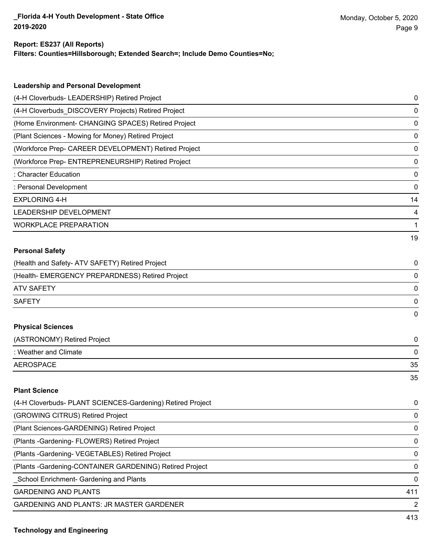#### **Report: ES237 (All Reports)**

**Filters: Counties=Hillsborough; Extended Search=; Include Demo Counties=No;**

| <b>Leadership and Personal Development</b>                 |             |
|------------------------------------------------------------|-------------|
| (4-H Cloverbuds- LEADERSHIP) Retired Project               | 0           |
| (4-H Cloverbuds_DISCOVERY Projects) Retired Project        | 0           |
| (Home Environment- CHANGING SPACES) Retired Project        | 0           |
| (Plant Sciences - Mowing for Money) Retired Project        | 0           |
| (Workforce Prep- CAREER DEVELOPMENT) Retired Project       | 0           |
| (Workforce Prep- ENTREPRENEURSHIP) Retired Project         | 0           |
| : Character Education                                      | $\mathbf 0$ |
| : Personal Development                                     | 0           |
| <b>EXPLORING 4-H</b>                                       | 14          |
| LEADERSHIP DEVELOPMENT                                     | 4           |
| <b>WORKPLACE PREPARATION</b>                               | 1           |
|                                                            | 19          |
| <b>Personal Safety</b>                                     |             |
| (Health and Safety- ATV SAFETY) Retired Project            | 0           |
| (Health- EMERGENCY PREPARDNESS) Retired Project            | 0           |
| <b>ATV SAFETY</b>                                          | 0           |
| <b>SAFETY</b>                                              | 0           |
|                                                            | $\mathbf 0$ |
| <b>Physical Sciences</b>                                   |             |
| (ASTRONOMY) Retired Project                                | $\mathbf 0$ |
| : Weather and Climate                                      | 0           |
| <b>AEROSPACE</b>                                           | 35          |
|                                                            | 35          |
| <b>Plant Science</b>                                       |             |
| (4-H Cloverbuds- PLANT SCIENCES-Gardening) Retired Project | 0           |

| (GROWING CITRUS) Retired Project                         | $\Omega$      |
|----------------------------------------------------------|---------------|
| (Plant Sciences-GARDENING) Retired Project               | $\mathbf 0$   |
| (Plants - Gardening - FLOWERS) Retired Project           | $\Omega$      |
| (Plants - Gardening - VEGETABLES) Retired Project        | $\Omega$      |
| (Plants - Gardening-CONTAINER GARDENING) Retired Project | $\mathbf 0$   |
| School Enrichment- Gardening and Plants                  | $\Omega$      |
| <b>GARDENING AND PLANTS</b>                              | 411           |
| GARDENING AND PLANTS: JR MASTER GARDENER                 | $\mathcal{P}$ |
|                                                          |               |